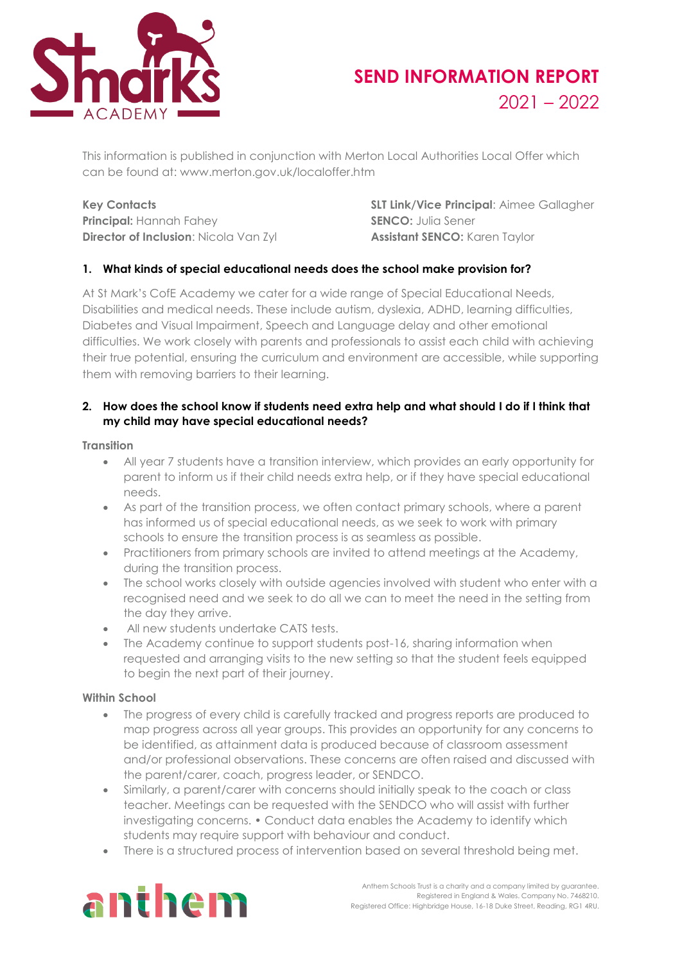

# **SEND INFORMATION REPORT** 2021 – 2022

This information is published in conjunction with Merton Local Authorities Local Offer which can be found at: www.merton.gov.uk/localoffer.htm

**Principal:** Hannah Fahey **SENCO:** Julia Sener **Director of Inclusion:** Nicola Van Zyl **Assistant SENCO:** Karen Taylor

**Key Contacts SLT Link/Vice Principal**: Aimee Gallagher

# **1. What kinds of special educational needs does the school make provision for?**

At St Mark's CofE Academy we cater for a wide range of Special Educational Needs, Disabilities and medical needs. These include autism, dyslexia, ADHD, learning difficulties, Diabetes and Visual Impairment, Speech and Language delay and other emotional difficulties. We work closely with parents and professionals to assist each child with achieving their true potential, ensuring the curriculum and environment are accessible, while supporting them with removing barriers to their learning.

### **2. How does the school know if students need extra help and what should I do if I think that my child may have special educational needs?**

#### **Transition**

- All year 7 students have a transition interview, which provides an early opportunity for parent to inform us if their child needs extra help, or if they have special educational needs.
- As part of the transition process, we often contact primary schools, where a parent has informed us of special educational needs, as we seek to work with primary schools to ensure the transition process is as seamless as possible.
- Practitioners from primary schools are invited to attend meetings at the Academy, during the transition process.
- The school works closely with outside agencies involved with student who enter with a recognised need and we seek to do all we can to meet the need in the setting from the day they arrive.
- All new students undertake CATS tests.
- The Academy continue to support students post-16, sharing information when requested and arranging visits to the new setting so that the student feels equipped to begin the next part of their journey.

#### **Within School**

- The progress of every child is carefully tracked and progress reports are produced to map progress across all year groups. This provides an opportunity for any concerns to be identified, as attainment data is produced because of classroom assessment and/or professional observations. These concerns are often raised and discussed with the parent/carer, coach, progress leader, or SENDCO.
- Similarly, a parent/carer with concerns should initially speak to the coach or class teacher. Meetings can be requested with the SENDCO who will assist with further investigating concerns. • Conduct data enables the Academy to identify which students may require support with behaviour and conduct.
- There is a structured process of intervention based on several threshold being met.

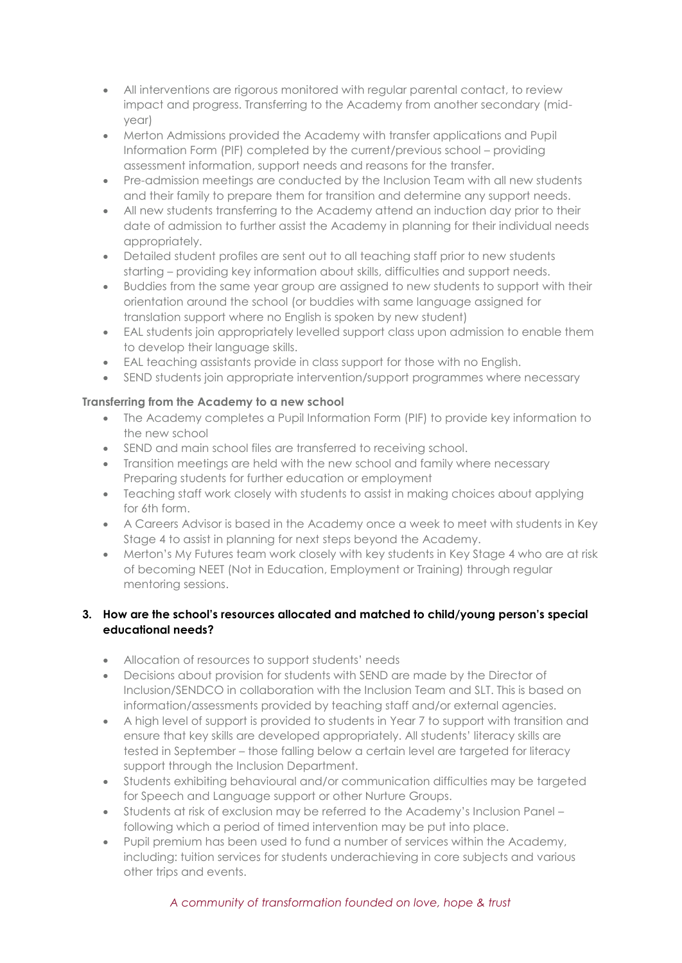- All interventions are rigorous monitored with regular parental contact, to review impact and progress. Transferring to the Academy from another secondary (midyear)
- Merton Admissions provided the Academy with transfer applications and Pupil Information Form (PIF) completed by the current/previous school – providing assessment information, support needs and reasons for the transfer.
- Pre-admission meetings are conducted by the Inclusion Team with all new students and their family to prepare them for transition and determine any support needs.
- All new students transferring to the Academy attend an induction day prior to their date of admission to further assist the Academy in planning for their individual needs appropriately.
- Detailed student profiles are sent out to all teaching staff prior to new students starting – providing key information about skills, difficulties and support needs.
- Buddies from the same year group are assigned to new students to support with their orientation around the school (or buddies with same language assigned for translation support where no English is spoken by new student)
- EAL students join appropriately levelled support class upon admission to enable them to develop their language skills.
- EAL teaching assistants provide in class support for those with no English.
- SEND students join appropriate intervention/support programmes where necessary

# **Transferring from the Academy to a new school**

- The Academy completes a Pupil Information Form (PIF) to provide key information to the new school
- SEND and main school files are transferred to receiving school.
- Transition meetings are held with the new school and family where necessary Preparing students for further education or employment
- Teaching staff work closely with students to assist in making choices about applying for 6th form.
- A Careers Advisor is based in the Academy once a week to meet with students in Key Stage 4 to assist in planning for next steps beyond the Academy.
- Merton's My Futures team work closely with key students in Key Stage 4 who are at risk of becoming NEET (Not in Education, Employment or Training) through regular mentoring sessions.

## **3. How are the school's resources allocated and matched to child/young person's special educational needs?**

- Allocation of resources to support students' needs
- Decisions about provision for students with SEND are made by the Director of Inclusion/SENDCO in collaboration with the Inclusion Team and SLT. This is based on information/assessments provided by teaching staff and/or external agencies.
- A high level of support is provided to students in Year 7 to support with transition and ensure that key skills are developed appropriately. All students' literacy skills are tested in September – those falling below a certain level are targeted for literacy support through the Inclusion Department.
- Students exhibiting behavioural and/or communication difficulties may be targeted for Speech and Language support or other Nurture Groups.
- Students at risk of exclusion may be referred to the Academy's Inclusion Panel following which a period of timed intervention may be put into place.
- Pupil premium has been used to fund a number of services within the Academy, including: tuition services for students underachieving in core subjects and various other trips and events.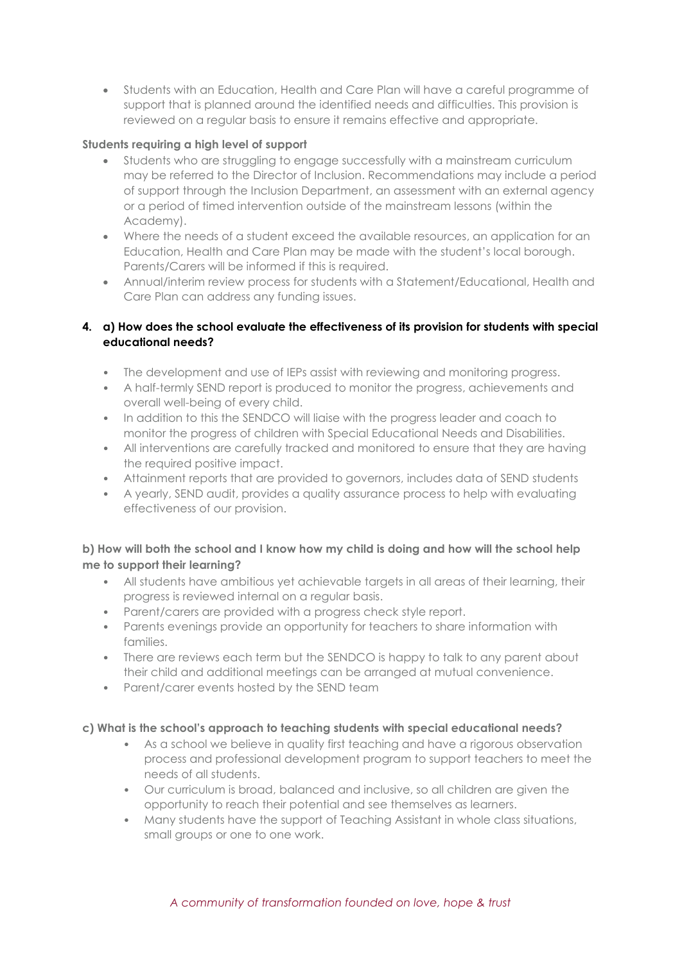• Students with an Education, Health and Care Plan will have a careful programme of support that is planned around the identified needs and difficulties. This provision is reviewed on a regular basis to ensure it remains effective and appropriate.

# **Students requiring a high level of support**

- Students who are struggling to engage successfully with a mainstream curriculum may be referred to the Director of Inclusion. Recommendations may include a period of support through the Inclusion Department, an assessment with an external agency or a period of timed intervention outside of the mainstream lessons (within the Academy).
- Where the needs of a student exceed the available resources, an application for an Education, Health and Care Plan may be made with the student's local borough. Parents/Carers will be informed if this is required.
- Annual/interim review process for students with a Statement/Educational, Health and Care Plan can address any funding issues.

# **4. a) How does the school evaluate the effectiveness of its provision for students with special educational needs?**

- The development and use of IEPs assist with reviewing and monitoring progress.
- A half-termly SEND report is produced to monitor the progress, achievements and overall well-being of every child.
- In addition to this the SENDCO will liaise with the progress leader and coach to monitor the progress of children with Special Educational Needs and Disabilities.
- All interventions are carefully tracked and monitored to ensure that they are having the required positive impact.
- Attainment reports that are provided to governors, includes data of SEND students
- A yearly, SEND audit, provides a quality assurance process to help with evaluating effectiveness of our provision.

# **b) How will both the school and I know how my child is doing and how will the school help me to support their learning?**

- All students have ambitious yet achievable targets in all areas of their learning, their progress is reviewed internal on a regular basis.
- Parent/carers are provided with a progress check style report.
- Parents evenings provide an opportunity for teachers to share information with families.
- There are reviews each term but the SENDCO is happy to talk to any parent about their child and additional meetings can be arranged at mutual convenience.
- Parent/carer events hosted by the SEND team

## **c) What is the school's approach to teaching students with special educational needs?**

- As a school we believe in quality first teaching and have a rigorous observation process and professional development program to support teachers to meet the needs of all students.
- Our curriculum is broad, balanced and inclusive, so all children are given the opportunity to reach their potential and see themselves as learners.
- Many students have the support of Teaching Assistant in whole class situations, small groups or one to one work.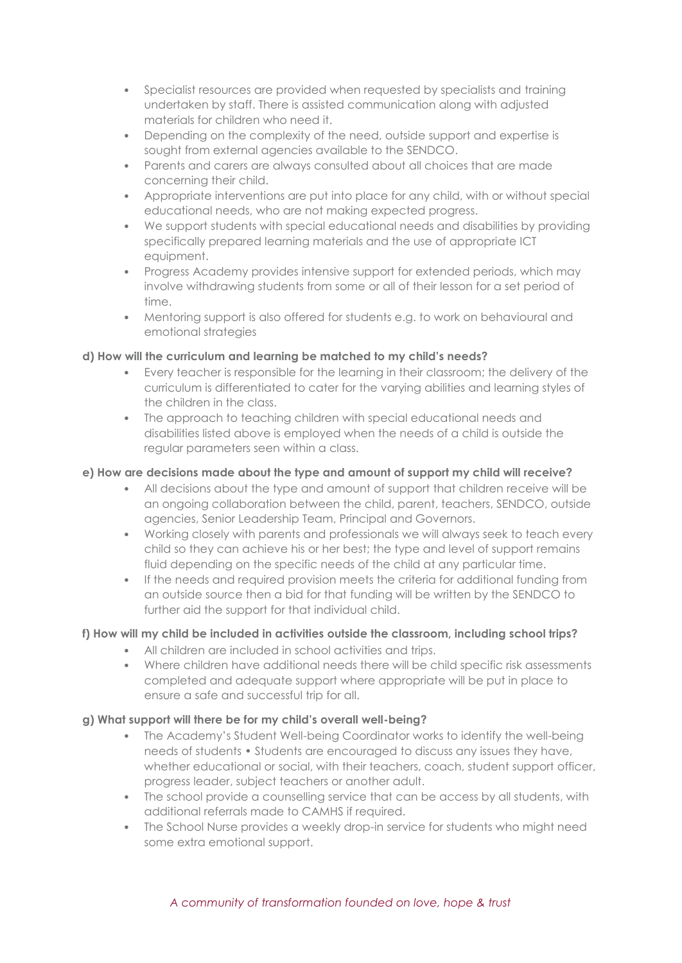- Specialist resources are provided when requested by specialists and training undertaken by staff. There is assisted communication along with adjusted materials for children who need it.
- Depending on the complexity of the need, outside support and expertise is sought from external agencies available to the SENDCO.
- Parents and carers are always consulted about all choices that are made concerning their child.
- Appropriate interventions are put into place for any child, with or without special educational needs, who are not making expected progress.
- We support students with special educational needs and disabilities by providing specifically prepared learning materials and the use of appropriate ICT equipment.
- Progress Academy provides intensive support for extended periods, which may involve withdrawing students from some or all of their lesson for a set period of time.
- Mentoring support is also offered for students e.g. to work on behavioural and emotional strategies

# **d) How will the curriculum and learning be matched to my child's needs?**

- Every teacher is responsible for the learning in their classroom; the delivery of the curriculum is differentiated to cater for the varying abilities and learning styles of the children in the class.
- The approach to teaching children with special educational needs and disabilities listed above is employed when the needs of a child is outside the regular parameters seen within a class.

# **e) How are decisions made about the type and amount of support my child will receive?**

- All decisions about the type and amount of support that children receive will be an ongoing collaboration between the child, parent, teachers, SENDCO, outside agencies, Senior Leadership Team, Principal and Governors.
- Working closely with parents and professionals we will always seek to teach every child so they can achieve his or her best; the type and level of support remains fluid depending on the specific needs of the child at any particular time.
- If the needs and required provision meets the criteria for additional funding from an outside source then a bid for that funding will be written by the SENDCO to further aid the support for that individual child.

# **f) How will my child be included in activities outside the classroom, including school trips?**

- All children are included in school activities and trips.
- Where children have additional needs there will be child specific risk assessments completed and adequate support where appropriate will be put in place to ensure a safe and successful trip for all.

## **g) What support will there be for my child's overall well-being?**

- The Academy's Student Well-being Coordinator works to identify the well-being needs of students • Students are encouraged to discuss any issues they have, whether educational or social, with their teachers, coach, student support officer, progress leader, subject teachers or another adult.
- The school provide a counselling service that can be access by all students, with additional referrals made to CAMHS if required.
- The School Nurse provides a weekly drop-in service for students who might need some extra emotional support.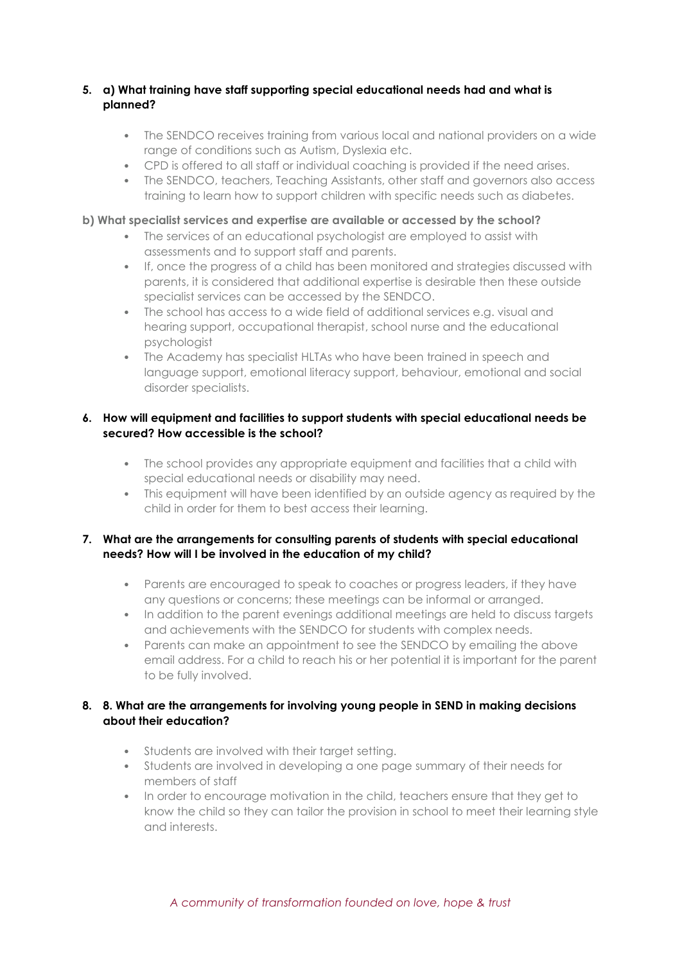## **5. a) What training have staff supporting special educational needs had and what is planned?**

- The SENDCO receives training from various local and national providers on a wide range of conditions such as Autism, Dyslexia etc.
- CPD is offered to all staff or individual coaching is provided if the need arises.
- The SENDCO, teachers, Teaching Assistants, other staff and governors also access training to learn how to support children with specific needs such as diabetes.

## **b) What specialist services and expertise are available or accessed by the school?**

- The services of an educational psychologist are employed to assist with assessments and to support staff and parents.
- If, once the progress of a child has been monitored and strategies discussed with parents, it is considered that additional expertise is desirable then these outside specialist services can be accessed by the SENDCO.
- The school has access to a wide field of additional services e.g. visual and hearing support, occupational therapist, school nurse and the educational psychologist
- The Academy has specialist HLTAs who have been trained in speech and language support, emotional literacy support, behaviour, emotional and social disorder specialists.

## **6. How will equipment and facilities to support students with special educational needs be secured? How accessible is the school?**

- The school provides any appropriate equipment and facilities that a child with special educational needs or disability may need.
- This equipment will have been identified by an outside agency as required by the child in order for them to best access their learning.

## **7. What are the arrangements for consulting parents of students with special educational needs? How will I be involved in the education of my child?**

- Parents are encouraged to speak to coaches or progress leaders, if they have any questions or concerns; these meetings can be informal or arranged.
- In addition to the parent evenings additional meetings are held to discuss targets and achievements with the SENDCO for students with complex needs.
- Parents can make an appointment to see the SENDCO by emailing the above email address. For a child to reach his or her potential it is important for the parent to be fully involved.

## **8. 8. What are the arrangements for involving young people in SEND in making decisions about their education?**

- Students are involved with their target setting.
- Students are involved in developing a one page summary of their needs for members of staff
- In order to encourage motivation in the child, teachers ensure that they get to know the child so they can tailor the provision in school to meet their learning style and interests.